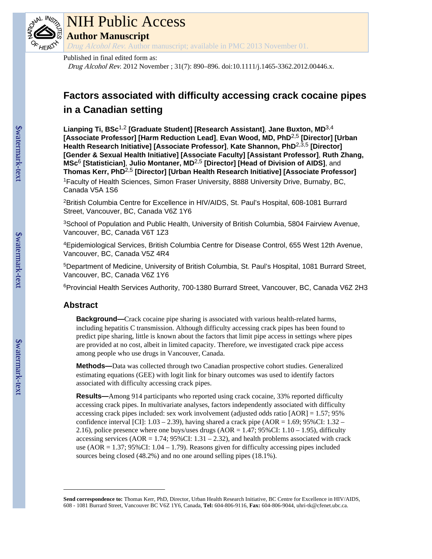

# NIH Public Access

**Author Manuscript**

Drug Alcohol Rev. Author manuscript; available in PMC 2013 November 01.

## Published in final edited form as:

Drug Alcohol Rev. 2012 November ; 31(7): 890–896. doi:10.1111/j.1465-3362.2012.00446.x.

# **Factors associated with difficulty accessing crack cocaine pipes in a Canadian setting**

**Lianping Ti, BSc**1,2 **[Graduate Student] [Research Assistant]**, **Jane Buxton, MD**3,4 **[Associate Professor] [Harm Reduction Lead]**, **Evan Wood, MD, PhD**2,5 **[Director] [Urban Health Research Initiative] [Associate Professor]**, **Kate Shannon, PhD**2,3,5 **[Director] [Gender & Sexual Health Initiative] [Associate Faculty] [Assistant Professor]**, **Ruth Zhang, MSc**6 **[Statistician]**, **Julio Montaner, MD**2,5 **[Director] [Head of Division of AIDS]**, and **Thomas Kerr, PhD**2,5 **[Director] [Urban Health Research Initiative] [Associate Professor]**

<sup>1</sup>Faculty of Health Sciences, Simon Fraser University, 8888 University Drive, Burnaby, BC, Canada V5A 1S6

<sup>2</sup>British Columbia Centre for Excellence in HIV/AIDS, St. Paul's Hospital, 608-1081 Burrard Street, Vancouver, BC, Canada V6Z 1Y6

<sup>3</sup>School of Population and Public Health, University of British Columbia, 5804 Fairview Avenue, Vancouver, BC, Canada V6T 1Z3

<sup>4</sup>Epidemiological Services, British Columbia Centre for Disease Control, 655 West 12th Avenue, Vancouver, BC, Canada V5Z 4R4

<sup>5</sup>Department of Medicine, University of British Columbia, St. Paul's Hospital, 1081 Burrard Street, Vancouver, BC, Canada V6Z 1Y6

<sup>6</sup>Provincial Health Services Authority, 700-1380 Burrard Street, Vancouver, BC, Canada V6Z 2H3

#### **Abstract**

**Background—**Crack cocaine pipe sharing is associated with various health-related harms, including hepatitis C transmission. Although difficulty accessing crack pipes has been found to predict pipe sharing, little is known about the factors that limit pipe access in settings where pipes are provided at no cost, albeit in limited capacity. Therefore, we investigated crack pipe access among people who use drugs in Vancouver, Canada.

**Methods—**Data was collected through two Canadian prospective cohort studies. Generalized estimating equations (GEE) with logit link for binary outcomes was used to identify factors associated with difficulty accessing crack pipes.

**Results—**Among 914 participants who reported using crack cocaine, 33% reported difficulty accessing crack pipes. In multivariate analyses, factors independently associated with difficulty accessing crack pipes included: sex work involvement (adjusted odds ratio [AOR] = 1.57; 95% confidence interval [CI]:  $1.03 - 2.39$ ), having shared a crack pipe (AOR = 1.69; 95%CI:  $1.32 -$ 2.16), police presence where one buys/uses drugs  $(AOR = 1.47; 95\% CI: 1.10 - 1.95)$ , difficulty accessing services ( $AOR = 1.74$ ; 95%CI: 1.31 – 2.32), and health problems associated with crack use (AOR =  $1.37$ ; 95%CI:  $1.04 - 1.79$ ). Reasons given for difficulty accessing pipes included sources being closed (48.2%) and no one around selling pipes (18.1%).

**Send correspondence to:** Thomas Kerr, PhD, Director, Urban Health Research Initiative, BC Centre for Excellence in HIV/AIDS, 608 - 1081 Burrard Street, Vancouver BC V6Z 1Y6, Canada, **Tel:** 604-806-9116, **Fax:** 604-806-9044, uhri-tk@cfenet.ubc.ca.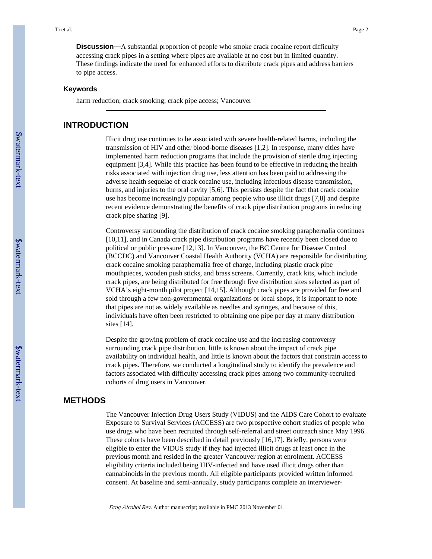**Discussion—**A substantial proportion of people who smoke crack cocaine report difficulty accessing crack pipes in a setting where pipes are available at no cost but in limited quantity. These findings indicate the need for enhanced efforts to distribute crack pipes and address barriers to pipe access.

#### **Keywords**

harm reduction; crack smoking; crack pipe access; Vancouver

#### **INTRODUCTION**

Illicit drug use continues to be associated with severe health-related harms, including the transmission of HIV and other blood-borne diseases [1,2]. In response, many cities have implemented harm reduction programs that include the provision of sterile drug injecting equipment [3,4]. While this practice has been found to be effective in reducing the health risks associated with injection drug use, less attention has been paid to addressing the adverse health sequelae of crack cocaine use, including infectious disease transmission, burns, and injuries to the oral cavity [5,6]. This persists despite the fact that crack cocaine use has become increasingly popular among people who use illicit drugs [7,8] and despite recent evidence demonstrating the benefits of crack pipe distribution programs in reducing crack pipe sharing [9].

Controversy surrounding the distribution of crack cocaine smoking paraphernalia continues [10,11], and in Canada crack pipe distribution programs have recently been closed due to political or public pressure [12,13]. In Vancouver, the BC Centre for Disease Control (BCCDC) and Vancouver Coastal Health Authority (VCHA) are responsible for distributing crack cocaine smoking paraphernalia free of charge, including plastic crack pipe mouthpieces, wooden push sticks, and brass screens. Currently, crack kits, which include crack pipes, are being distributed for free through five distribution sites selected as part of VCHA's eight-month pilot project [14,15]. Although crack pipes are provided for free and sold through a few non-governmental organizations or local shops, it is important to note that pipes are not as widely available as needles and syringes, and because of this, individuals have often been restricted to obtaining one pipe per day at many distribution sites [14].

Despite the growing problem of crack cocaine use and the increasing controversy surrounding crack pipe distribution, little is known about the impact of crack pipe availability on individual health, and little is known about the factors that constrain access to crack pipes. Therefore, we conducted a longitudinal study to identify the prevalence and factors associated with difficulty accessing crack pipes among two community-recruited cohorts of drug users in Vancouver.

### **METHODS**

The Vancouver Injection Drug Users Study (VIDUS) and the AIDS Care Cohort to evaluate Exposure to Survival Services (ACCESS) are two prospective cohort studies of people who use drugs who have been recruited through self-referral and street outreach since May 1996. These cohorts have been described in detail previously [16,17]. Briefly, persons were eligible to enter the VIDUS study if they had injected illicit drugs at least once in the previous month and resided in the greater Vancouver region at enrolment. ACCESS eligibility criteria included being HIV-infected and have used illicit drugs other than cannabinoids in the previous month. All eligible participants provided written informed consent. At baseline and semi-annually, study participants complete an interviewer-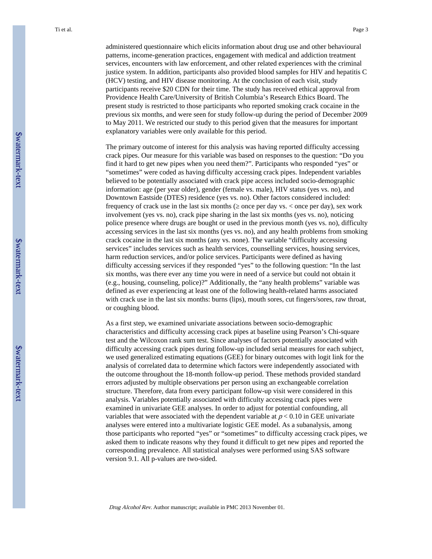administered questionnaire which elicits information about drug use and other behavioural patterns, income-generation practices, engagement with medical and addiction treatment services, encounters with law enforcement, and other related experiences with the criminal justice system. In addition, participants also provided blood samples for HIV and hepatitis C (HCV) testing, and HIV disease monitoring. At the conclusion of each visit, study participants receive \$20 CDN for their time. The study has received ethical approval from Providence Health Care/University of British Columbia's Research Ethics Board. The present study is restricted to those participants who reported smoking crack cocaine in the previous six months, and were seen for study follow-up during the period of December 2009 to May 2011. We restricted our study to this period given that the measures for important explanatory variables were only available for this period.

The primary outcome of interest for this analysis was having reported difficulty accessing crack pipes. Our measure for this variable was based on responses to the question: "Do you find it hard to get new pipes when you need them?". Participants who responded "yes" or "sometimes" were coded as having difficulty accessing crack pipes. Independent variables believed to be potentially associated with crack pipe access included socio-demographic information: age (per year older), gender (female vs. male), HIV status (yes vs. no), and Downtown Eastside (DTES) residence (yes vs. no). Other factors considered included: frequency of crack use in the last six months ( $\circ$  once per day vs.  $\lt$  once per day), sex work involvement (yes vs. no), crack pipe sharing in the last six months (yes vs. no), noticing police presence where drugs are bought or used in the previous month (yes vs. no), difficulty accessing services in the last six months (yes vs. no), and any health problems from smoking crack cocaine in the last six months (any vs. none). The variable "difficulty accessing services" includes services such as health services, counselling services, housing services, harm reduction services, and/or police services. Participants were defined as having difficulty accessing services if they responded "yes" to the following question: "In the last six months, was there ever any time you were in need of a service but could not obtain it (e.g., housing, counseling, police)?" Additionally, the "any health problems" variable was defined as ever experiencing at least one of the following health-related harms associated with crack use in the last six months: burns (lips), mouth sores, cut fingers/sores, raw throat, or coughing blood.

As a first step, we examined univariate associations between socio-demographic characteristics and difficulty accessing crack pipes at baseline using Pearson's Chi-square test and the Wilcoxon rank sum test. Since analyses of factors potentially associated with difficulty accessing crack pipes during follow-up included serial measures for each subject, we used generalized estimating equations (GEE) for binary outcomes with logit link for the analysis of correlated data to determine which factors were independently associated with the outcome throughout the 18-month follow-up period. These methods provided standard errors adjusted by multiple observations per person using an exchangeable correlation structure. Therefore, data from every participant follow-up visit were considered in this analysis. Variables potentially associated with difficulty accessing crack pipes were examined in univariate GEE analyses. In order to adjust for potential confounding, all variables that were associated with the dependent variable at  $p < 0.10$  in GEE univariate analyses were entered into a multivariate logistic GEE model. As a subanalysis, among those participants who reported "yes" or "sometimes" to difficulty accessing crack pipes, we asked them to indicate reasons why they found it difficult to get new pipes and reported the corresponding prevalence. All statistical analyses were performed using SAS software version 9.1. All p-values are two-sided.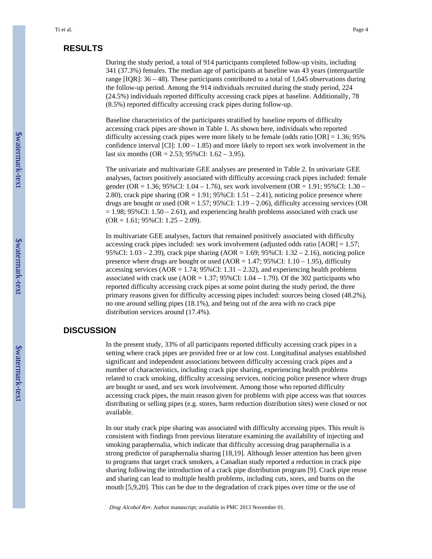# **RESULTS**

During the study period, a total of 914 participants completed follow-up visits, including 341 (37.3%) females. The median age of participants at baseline was 43 years (interquartile range  $[IQR]$ : 36 – 48). These participants contributed to a total of 1,645 observations during the follow-up period. Among the 914 individuals recruited during the study period, 224 (24.5%) individuals reported difficulty accessing crack pipes at baseline. Additionally, 78 (8.5%) reported difficulty accessing crack pipes during follow-up.

Baseline characteristics of the participants stratified by baseline reports of difficulty accessing crack pipes are shown in Table 1. As shown here, individuals who reported difficulty accessing crack pipes were more likely to be female (odds ratio  $[OR] = 1.36$ ; 95% confidence interval  $\text{[CI]}$ : 1.00 – 1.85) and more likely to report sex work involvement in the last six months (OR = 2.53; 95%CI:  $1.62 - 3.95$ ).

The univariate and multivariate GEE analyses are presented in Table 2. In univariate GEE analyses, factors positively associated with difficulty accessing crack pipes included: female gender (OR = 1.36; 95%CI: 1.04 – 1.76), sex work involvement (OR = 1.91; 95%CI: 1.30 – 2.80), crack pipe sharing ( $OR = 1.91$ ;  $95\%$ CI:  $1.51 - 2.41$ ), noticing police presence where drugs are bought or used (OR = 1.57;  $95\%$ CI: 1.19 – 2.06), difficulty accessing services (OR  $= 1.98$ ; 95%CI: 1.50 – 2.61), and experiencing health problems associated with crack use  $(OR = 1.61; 95\% CI: 1.25 - 2.09).$ 

In multivariate GEE analyses, factors that remained positively associated with difficulty accessing crack pipes included: sex work involvement (adjusted odds ratio [AOR] = 1.57; 95%CI: 1.03 – 2.39), crack pipe sharing (AOR = 1.69; 95%CI: 1.32 – 2.16), noticing police presence where drugs are bought or used ( $AOR = 1.47$ ; 95%CI:  $1.10 - 1.95$ ), difficulty accessing services (AOR =  $1.74$ ; 95%CI:  $1.31 - 2.32$ ), and experiencing health problems associated with crack use  $(AOR = 1.37; 95\% CI: 1.04 - 1.79)$ . Of the 302 participants who reported difficulty accessing crack pipes at some point during the study period, the three primary reasons given for difficulty accessing pipes included: sources being closed (48.2%), no one around selling pipes (18.1%), and being out of the area with no crack pipe distribution services around (17.4%).

# **DISCUSSION**

In the present study, 33% of all participants reported difficulty accessing crack pipes in a setting where crack pipes are provided free or at low cost. Longitudinal analyses established significant and independent associations between difficulty accessing crack pipes and a number of characteristics, including crack pipe sharing, experiencing health problems related to crack smoking, difficulty accessing services, noticing police presence where drugs are bought or used, and sex work involvement. Among those who reported difficulty accessing crack pipes, the main reason given for problems with pipe access was that sources distributing or selling pipes (e.g. stores, harm reduction distribution sites) were closed or not available.

In our study crack pipe sharing was associated with difficulty accessing pipes. This result is consistent with findings from previous literature examining the availability of injecting and smoking paraphernalia, which indicate that difficulty accessing drug paraphernalia is a strong predictor of paraphernalia sharing [18,19]. Although lesser attention has been given to programs that target crack smokers, a Canadian study reported a reduction in crack pipe sharing following the introduction of a crack pipe distribution program [9]. Crack pipe reuse and sharing can lead to multiple health problems, including cuts, sores, and burns on the mouth [5,9,20]. This can be due to the degradation of crack pipes over time or the use of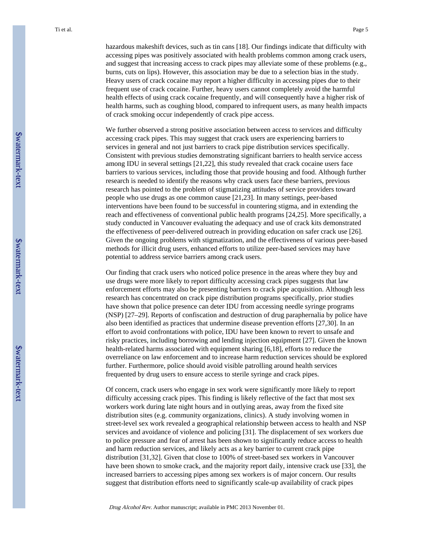hazardous makeshift devices, such as tin cans [18]. Our findings indicate that difficulty with accessing pipes was positively associated with health problems common among crack users, and suggest that increasing access to crack pipes may alleviate some of these problems (e.g., burns, cuts on lips). However, this association may be due to a selection bias in the study. Heavy users of crack cocaine may report a higher difficulty in accessing pipes due to their frequent use of crack cocaine. Further, heavy users cannot completely avoid the harmful health effects of using crack cocaine frequently, and will consequently have a higher risk of health harms, such as coughing blood, compared to infrequent users, as many health impacts of crack smoking occur independently of crack pipe access.

We further observed a strong positive association between access to services and difficulty accessing crack pipes. This may suggest that crack users are experiencing barriers to services in general and not just barriers to crack pipe distribution services specifically. Consistent with previous studies demonstrating significant barriers to health service access among IDU in several settings [21,22], this study revealed that crack cocaine users face barriers to various services, including those that provide housing and food. Although further research is needed to identify the reasons why crack users face these barriers, previous research has pointed to the problem of stigmatizing attitudes of service providers toward people who use drugs as one common cause [21,23]. In many settings, peer-based interventions have been found to be successful in countering stigma, and in extending the reach and effectiveness of conventional public health programs [24,25]. More specifically, a study conducted in Vancouver evaluating the adequacy and use of crack kits demonstrated the effectiveness of peer-delivered outreach in providing education on safer crack use [26]. Given the ongoing problems with stigmatization, and the effectiveness of various peer-based methods for illicit drug users, enhanced efforts to utilize peer-based services may have potential to address service barriers among crack users.

Our finding that crack users who noticed police presence in the areas where they buy and use drugs were more likely to report difficulty accessing crack pipes suggests that law enforcement efforts may also be presenting barriers to crack pipe acquisition. Although less research has concentrated on crack pipe distribution programs specifically, prior studies have shown that police presence can deter IDU from accessing needle syringe programs (NSP) [27–29]. Reports of confiscation and destruction of drug paraphernalia by police have also been identified as practices that undermine disease prevention efforts [27,30]. In an effort to avoid confrontations with police, IDU have been known to revert to unsafe and risky practices, including borrowing and lending injection equipment [27]. Given the known health-related harms associated with equipment sharing [6,18], efforts to reduce the overreliance on law enforcement and to increase harm reduction services should be explored further. Furthermore, police should avoid visible patrolling around health services frequented by drug users to ensure access to sterile syringe and crack pipes.

Of concern, crack users who engage in sex work were significantly more likely to report difficulty accessing crack pipes. This finding is likely reflective of the fact that most sex workers work during late night hours and in outlying areas, away from the fixed site distribution sites (e.g. community organizations, clinics). A study involving women in street-level sex work revealed a geographical relationship between access to health and NSP services and avoidance of violence and policing [31]. The displacement of sex workers due to police pressure and fear of arrest has been shown to significantly reduce access to health and harm reduction services, and likely acts as a key barrier to current crack pipe distribution [31,32]. Given that close to 100% of street-based sex workers in Vancouver have been shown to smoke crack, and the majority report daily, intensive crack use [33], the increased barriers to accessing pipes among sex workers is of major concern. Our results suggest that distribution efforts need to significantly scale-up availability of crack pipes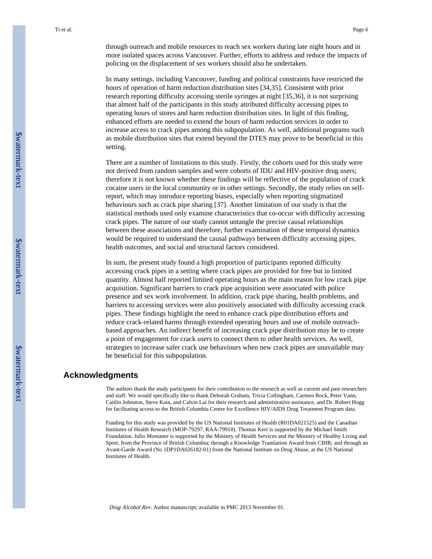In many settings, including Vancouver, funding and political constraints have restricted the hours of operation of harm reduction distribution sites [34,35]. Consistent with prior research reporting difficulty accessing sterile syringes at night [35,36], it is not surprising that almost half of the participants in this study attributed difficulty accessing pipes to operating hours of stores and harm reduction distribution sites. In light of this finding, enhanced efforts are needed to extend the hours of harm reduction services in order to increase access to crack pipes among this subpopulation. As well, additional programs such as mobile distribution sites that extend beyond the DTES may prove to be beneficial in this setting.

There are a number of limitations to this study. Firstly, the cohorts used for this study were not derived from random samples and were cohorts of IDU and HIV-positive drug users; therefore it is not known whether these findings will be reflective of the population of crack cocaine users in the local community or in other settings. Secondly, the study relies on selfreport, which may introduce reporting biases, especially when reporting stigmatized behaviours such as crack pipe sharing [37]. Another limitation of our study is that the statistical methods used only examine characteristics that co-occur with difficulty accessing crack pipes. The nature of our study cannot untangle the precise causal relationships between these associations and therefore, further examination of these temporal dynamics would be required to understand the causal pathways between difficulty accessing pipes, health outcomes, and social and structural factors considered.

In sum, the present study found a high proportion of participants reported difficulty accessing crack pipes in a setting where crack pipes are provided for free but in limited quantity. Almost half reported limited operating hours as the main reason for low crack pipe acquisition. Significant barriers to crack pipe acquisition were associated with police presence and sex work involvement. In addition, crack pipe sharing, health problems, and barriers to accessing services were also positively associated with difficulty accessing crack pipes. These findings highlight the need to enhance crack pipe distribution efforts and reduce crack-related harms through extended operating hours and use of mobile outreachbased approaches. An indirect benefit of increasing crack pipe distribution may be to create a point of engagement for crack users to connect them to other health services. As well, strategies to increase safer crack use behaviours when new crack pipes are unavailable may be beneficial for this subpopulation.

#### **Acknowledgments**

The authors thank the study participants for their contribution to the research as well as current and past researchers and staff. We would specifically like to thank Deborah Graham, Tricia Collingham, Carmen Rock, Peter Vann, Caitlin Johnston, Steve Kain, and Calvin Lai for their research and administrative assistance, and Dr. Robert Hogg for facilitating access to the British Columbia Centre for Excellence HIV/AIDS Drug Treatment Program data.

Funding for this study was provided by the US National Institutes of Health (R01DA021525) and the Canadian Institutes of Health Research (MOP-79297, RAA-79918). Thomas Kerr is supported by the Michael Smith Foundation. Julio Montaner is supported by the Ministry of Health Services and the Ministry of Healthy Living and Sport, from the Province of British Columbia; through a Knowledge Translation Award from CIHR; and through an Avant-Garde Award (No 1DP1DA026182-01) from the National Institute on Drug Abuse, at the US National Institutes of Health.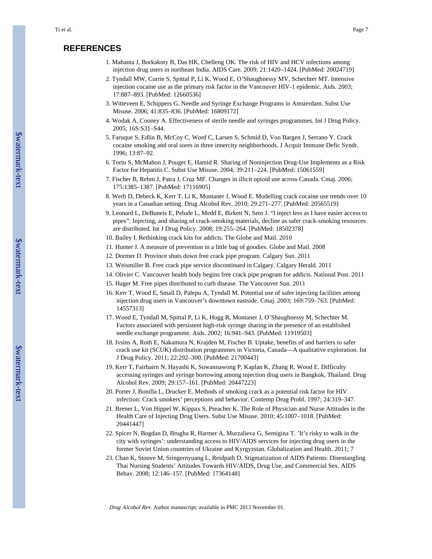#### **REFERENCES**

- 1. Mahanta J, Borkakoty B, Das HK, Chelleng OK. The risk of HIV and HCV infections among injection drug users in northeast India. AIDS Care. 2009; 21:1420–1424. [PubMed: 20024719]
- 2. Tyndall MW, Currie S, Spittal P, Li K, Wood E, O'Shaughnessy MV, Schechter MT. Intensive injection cocaine use as the primary risk factor in the Vancouver HIV-1 epidemic. Aids. 2003; 17:887–893. [PubMed: 12660536]
- 3. Witteveen E, Schippers G. Needle and Syringe Exchange Programs in Amsterdam. Subst Use Misuse. 2006; 41:835–836. [PubMed: 16809172]
- 4. Wodak A, Cooney A. Effectiveness of sterile needle and syringes programmes. Int J Drug Policy. 2005; 16S:S31–S44.
- 5. Faruque S, Edlin B, McCoy C, Word C, Larsen S, Schmid D, Von Bargen J, Serrano Y. Crack cocaine smoking and oral sores in three innercity neighborhoods. J Acquir Immune Defic Syndr. 1996; 13:87–92.
- 6. Tortu S, McMahon J, Pouget E, Hamid R. Sharing of Noninjection Drug-Use Implements as a Risk Factor for Hepatitis C. Subst Use Misuse. 2004; 39:211–224. [PubMed: 15061559]
- 7. Fischer B, Rehm J, Patra J, Cruz MF. Changes in illicit opioid use across Canada. Cmaj. 2006; 175:1385–1387. [PubMed: 17116905]
- 8. Werb D, Debeck K, Kerr T, Li K, Montaner J, Wood E. Modelling crack cocaine use trends over 10 years in a Canadian setting. Drug Alcohol Rev. 2010; 29:271–277. [PubMed: 20565519]
- 9. Leonard L, DeBuneis E, Pelude L, Medd E, Birkett N, Seto J. "I inject less as I have easier access to pipes": Injecting, and sharing of crack-smoking materials, decline as safer crack-smoking resources are distributed. Int J Drug Policy. 2008; 19:255–264. [PubMed: 18502378]
- 10. Bailey I. Rethinking crack kits for addicts. The Globe and Mail. 2010
- 11. Hunter J. A measure of prevention in a little bag of goodies. Globe and Mail. 2008
- 12. Dormer D. Province shuts down free crack pipe program. Calgary Sun. 2011
- 13. Weismiller B. Free crack pipe service discontinued in Calgary. Calgary Herald. 2011
- 14. Olivier C. Vancouver health body begins free crack pipe program for addicts. National Post. 2011
- 15. Hager M. Free pipes distributed to curb disease. The Vancouver Sun. 2011
- 16. Kerr T, Wood E, Small D, Palepu A, Tyndall M. Potential use of safer injecting facilities among injection drug users in Vancouver's downtown eastside. Cmaj. 2003; 169:759–763. [PubMed: 14557313]
- 17. Wood E, Tyndall M, Spittal P, Li K, Hogg R, Montaner J, O'Shaughnessy M, Schechter M. Factors associated with persistent high-risk syringe sharing in the presence of an established needle exchange programme. Aids. 2002; 16:941–943. [PubMed: 11919503]
- 18. Ivsins A, Roth E, Nakamura N, Krajden M, Fischer B. Uptake, benefits of and barriers to safer crack use kit (SCUK) distribution programmes in Victoria, Canada—A qualitative exploration. Int J Drug Policy. 2011; 22:292–300. [PubMed: 21700443]
- 19. Kerr T, Fairbairn N, Hayashi K, Suwannawong P, Kaplan K, Zhang R, Wood E. Difficulty accessing syringes and syringe borrowing among injection drug users in Bangkok, Thailand. Drug Alcohol Rev. 2009; 29:157–161. [PubMed: 20447223]
- 20. Porter J, Bonilla L, Drucker E. Methods of smoking crack as a potential risk factor for HIV infection: Crack smokers' perceptions and behavior. Contemp Drug Probl. 1997; 24:319–347.
- 21. Brener L, Von Hippel W, Kippax S, Preacher K. The Role of Physician and Nurse Attitudes in the Health Care of Injecting Drug Users. Subst Use Misuse. 2010; 45:1007–1018. [PubMed: 20441447]
- 22. Spicer N, Bogdan D, Brugha R, Harmer A, Murzalieva G, Semigina T. 'It's risky to walk in the city with syringes': understanding access to HIV/AIDS services for injecting drug users in the former Soviet Union countries of Ukraine and Kyrgyzstan. Globalization and Health. 2011; 7
- 23. Chan K, Stoove M, Sringernyuang L, Reidpath D. Stigmatization of AIDS Patients: Disentangling Thai Nursing Students' Attitudes Towards HIV/AIDS, Drug Use, and Commercial Sex. AIDS Behav. 2008; 12:146–157. [PubMed: 17364148]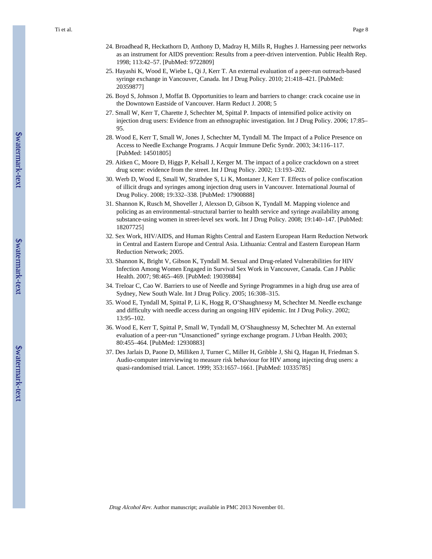- 24. Broadhead R, Heckathorn D, Anthony D, Madray H, Mills R, Hughes J. Harnessing peer networks as an instrument for AIDS prevention: Results from a peer-driven intervention. Public Health Rep. 1998; 113:42–57. [PubMed: 9722809]
- 25. Hayashi K, Wood E, Wiebe L, Qi J, Kerr T. An external evaluation of a peer-run outreach-based syringe exchange in Vancouver, Canada. Int J Drug Policy. 2010; 21:418–421. [PubMed: 20359877]
- 26. Boyd S, Johnson J, Moffat B. Opportunities to learn and barriers to change: crack cocaine use in the Downtown Eastside of Vancouver. Harm Reduct J. 2008; 5
- 27. Small W, Kerr T, Charette J, Schechter M, Spittal P. Impacts of intensified police activity on injection drug users: Evidence from an ethnographic investigation. Int J Drug Policy. 2006; 17:85– 95.
- 28. Wood E, Kerr T, Small W, Jones J, Schechter M, Tyndall M. The Impact of a Police Presence on Access to Needle Exchange Programs. J Acquir Immune Defic Syndr. 2003; 34:116–117. [PubMed: 14501805]
- 29. Aitken C, Moore D, Higgs P, Kelsall J, Kerger M. The impact of a police crackdown on a street drug scene: evidence from the street. Int J Drug Policy. 2002; 13:193–202.
- 30. Werb D, Wood E, Small W, Strathdee S, Li K, Montaner J, Kerr T. Effects of police confiscation of illicit drugs and syringes among injection drug users in Vancouver. International Journal of Drug Policy. 2008; 19:332–338. [PubMed: 17900888]
- 31. Shannon K, Rusch M, Shoveller J, Alexson D, Gibson K, Tyndall M. Mapping violence and policing as an environmental–structural barrier to health service and syringe availability among substance-using women in street-level sex work. Int J Drug Policy. 2008; 19:140–147. [PubMed: 18207725]
- 32. Sex Work, HIV/AIDS, and Human Rights Central and Eastern European Harm Reduction Network in Central and Eastern Europe and Central Asia. Lithuania: Central and Eastern European Harm Reduction Network; 2005.
- 33. Shannon K, Bright V, Gibson K, Tyndall M. Sexual and Drug-related Vulnerabilities for HIV Infection Among Women Engaged in Survival Sex Work in Vancouver, Canada. Can J Public Health. 2007; 98:465–469. [PubMed: 19039884]
- 34. Treloar C, Cao W. Barriers to use of Needle and Syringe Programmes in a high drug use area of Sydney, New South Wale. Int J Drug Policy. 2005; 16:308–315.
- 35. Wood E, Tyndall M, Spittal P, Li K, Hogg R, O'Shaughnessy M, Schechter M. Needle exchange and difficulty with needle access during an ongoing HIV epidemic. Int J Drug Policy. 2002; 13:95–102.
- 36. Wood E, Kerr T, Spittal P, Small W, Tyndall M, O'Shaughnessy M, Schechter M. An external evaluation of a peer-run "Unsanctioned" syringe exchange program. J Urban Health. 2003; 80:455–464. [PubMed: 12930883]
- 37. Des Jarlais D, Paone D, Milliken J, Turner C, Miller H, Gribble J, Shi Q, Hagan H, Friedman S. Audio-computer interviewing to measure risk behaviour for HIV among injecting drug users: a quasi-randomised trial. Lancet. 1999; 353:1657–1661. [PubMed: 10335785]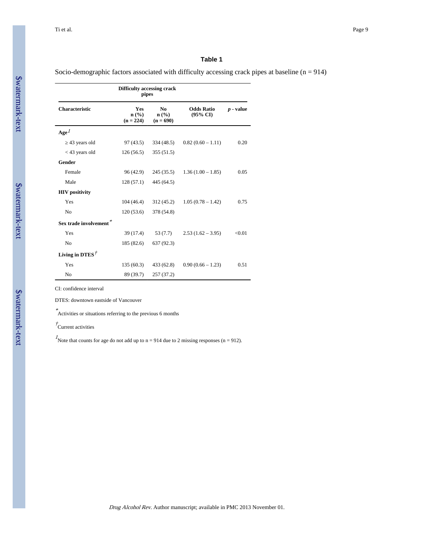#### **Table 1**

Socio-demographic factors associated with difficulty accessing crack pipes at baseline  $(n = 914)$ 

| <b>Characteristic</b>  | <b>Yes</b><br>$n\left(\frac{0}{0}\right)$<br>$(n = 224)$ | N <sub>0</sub><br>$n\left(\frac{9}{6}\right)$<br>$(n = 690)$ | <b>Odds Ratio</b><br>$(95\% \text{ CI})$ | p - value |
|------------------------|----------------------------------------------------------|--------------------------------------------------------------|------------------------------------------|-----------|
| Age <sup>1</sup>       |                                                          |                                                              |                                          |           |
| 43 years old           | 97(43.5)                                                 | 334 (48.5)                                                   | $0.82(0.60 - 1.11)$                      | 0.20      |
| $<$ 43 years old       | 126(56.5)                                                | 355(51.5)                                                    |                                          |           |
| Gender                 |                                                          |                                                              |                                          |           |
| Female                 | 96 (42.9)                                                | 245(35.5)                                                    | $1.36(1.00 - 1.85)$                      | 0.05      |
| Male                   | 128(57.1)                                                | 445 (64.5)                                                   |                                          |           |
| <b>HIV</b> positivity  |                                                          |                                                              |                                          |           |
| Yes                    | 104(46.4)                                                | 312 (45.2)                                                   | $1.05(0.78 - 1.42)$                      | 0.75      |
| N <sub>o</sub>         | 120(53.6)                                                | 378 (54.8)                                                   |                                          |           |
| Sex trade involvement* |                                                          |                                                              |                                          |           |
| Yes                    | 39 (17.4)                                                | 53 (7.7)                                                     | $2.53(1.62 - 3.95)$                      | < 0.01    |
| No                     | 185 (82.6)                                               | 637 (92.3)                                                   |                                          |           |
| Living in DTES $†$     |                                                          |                                                              |                                          |           |
| Yes                    | 135 (60.3)                                               | 433 (62.8)                                                   | $0.90(0.66 - 1.23)$                      | 0.51      |
| No                     | 89 (39.7)                                                | 257 (37.2)                                                   |                                          |           |

CI: confidence interval

DTES: downtown eastside of Vancouver

\* Activities or situations referring to the previous 6 months

† Current activities

Note that counts for age do not add up to  $n = 914$  due to 2 missing responses ( $n = 912$ ).